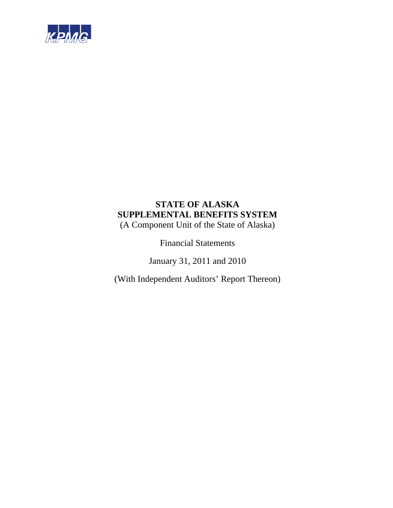

# **STATE OF ALASKA SUPPLEMENTAL BENEFITS SYSTEM**

(A Component Unit of the State of Alaska)

Financial Statements

January 31, 2011 and 2010

(With Independent Auditors' Report Thereon)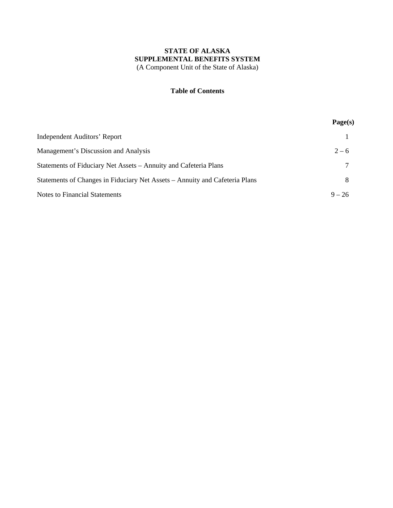# **Table of Contents**

|                                                                             | Page(s)  |
|-----------------------------------------------------------------------------|----------|
| <b>Independent Auditors' Report</b>                                         |          |
| Management's Discussion and Analysis                                        | $2 - 6$  |
| Statements of Fiduciary Net Assets – Annuity and Cafeteria Plans            |          |
| Statements of Changes in Fiduciary Net Assets – Annuity and Cafeteria Plans |          |
| <b>Notes to Financial Statements</b>                                        | $9 - 26$ |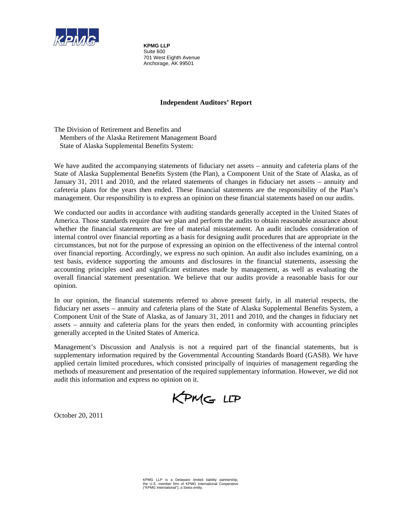

**KPMG LLP**  Suite 600 701 West Eighth Avenue Anchorage, AK 99501

# **Independent Auditors' Report**

The Division of Retirement and Benefits and Members of the Alaska Retirement Management Board State of Alaska Supplemental Benefits System:

We have audited the accompanying statements of fiduciary net assets – annuity and cafeteria plans of the State of Alaska Supplemental Benefits System (the Plan), a Component Unit of the State of Alaska, as of January 31, 2011 and 2010, and the related statements of changes in fiduciary net assets – annuity and cafeteria plans for the years then ended. These financial statements are the responsibility of the Plan's management. Our responsibility is to express an opinion on these financial statements based on our audits.

We conducted our audits in accordance with auditing standards generally accepted in the United States of America. Those standards require that we plan and perform the audits to obtain reasonable assurance about whether the financial statements are free of material misstatement. An audit includes consideration of internal control over financial reporting as a basis for designing audit procedures that are appropriate in the circumstances, but not for the purpose of expressing an opinion on the effectiveness of the internal control over financial reporting. Accordingly, we express no such opinion. An audit also includes examining, on a test basis, evidence supporting the amounts and disclosures in the financial statements, assessing the accounting principles used and significant estimates made by management, as well as evaluating the overall financial statement presentation. We believe that our audits provide a reasonable basis for our opinion.

In our opinion, the financial statements referred to above present fairly, in all material respects, the fiduciary net assets – annuity and cafeteria plans of the State of Alaska Supplemental Benefits System, a Component Unit of the State of Alaska, as of January 31, 2011 and 2010, and the changes in fiduciary net assets – annuity and cafeteria plans for the years then ended, in conformity with accounting principles generally accepted in the United States of America.

Management's Discussion and Analysis is not a required part of the financial statements, but is supplementary information required by the Governmental Accounting Standards Board (GASB). We have applied certain limited procedures, which consisted principally of inquiries of management regarding the methods of measurement and presentation of the required supplementary information. However, we did not audit this information and express no opinion on it.

KPMG LLP

October 20, 2011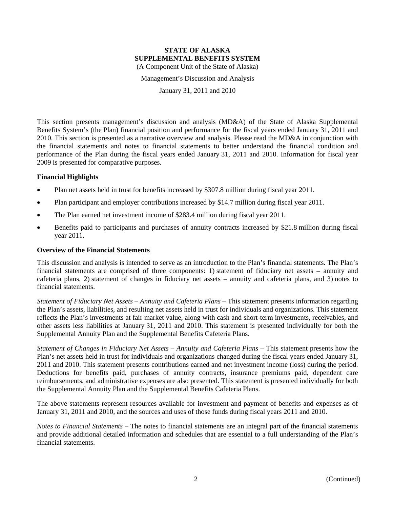Management's Discussion and Analysis

January 31, 2011 and 2010

This section presents management's discussion and analysis (MD&A) of the State of Alaska Supplemental Benefits System's (the Plan) financial position and performance for the fiscal years ended January 31, 2011 and 2010. This section is presented as a narrative overview and analysis. Please read the MD&A in conjunction with the financial statements and notes to financial statements to better understand the financial condition and performance of the Plan during the fiscal years ended January 31, 2011 and 2010. Information for fiscal year 2009 is presented for comparative purposes.

#### **Financial Highlights**

- Plan net assets held in trust for benefits increased by \$307.8 million during fiscal year 2011.
- Plan participant and employer contributions increased by \$14.7 million during fiscal year 2011.
- The Plan earned net investment income of \$283.4 million during fiscal year 2011.
- Benefits paid to participants and purchases of annuity contracts increased by \$21.8 million during fiscal year 2011.

#### **Overview of the Financial Statements**

This discussion and analysis is intended to serve as an introduction to the Plan's financial statements. The Plan's financial statements are comprised of three components: 1) statement of fiduciary net assets – annuity and cafeteria plans, 2) statement of changes in fiduciary net assets – annuity and cafeteria plans, and 3) notes to financial statements.

*Statement of Fiduciary Net Assets – Annuity and Cafeteria Plans* – This statement presents information regarding the Plan's assets, liabilities, and resulting net assets held in trust for individuals and organizations. This statement reflects the Plan's investments at fair market value, along with cash and short-term investments, receivables, and other assets less liabilities at January 31, 2011 and 2010. This statement is presented individually for both the Supplemental Annuity Plan and the Supplemental Benefits Cafeteria Plans.

*Statement of Changes in Fiduciary Net Assets – Annuity and Cafeteria Plans* – This statement presents how the Plan's net assets held in trust for individuals and organizations changed during the fiscal years ended January 31, 2011 and 2010. This statement presents contributions earned and net investment income (loss) during the period. Deductions for benefits paid, purchases of annuity contracts, insurance premiums paid, dependent care reimbursements, and administrative expenses are also presented. This statement is presented individually for both the Supplemental Annuity Plan and the Supplemental Benefits Cafeteria Plans.

The above statements represent resources available for investment and payment of benefits and expenses as of January 31, 2011 and 2010, and the sources and uses of those funds during fiscal years 2011 and 2010.

*Notes to Financial Statements* – The notes to financial statements are an integral part of the financial statements and provide additional detailed information and schedules that are essential to a full understanding of the Plan's financial statements.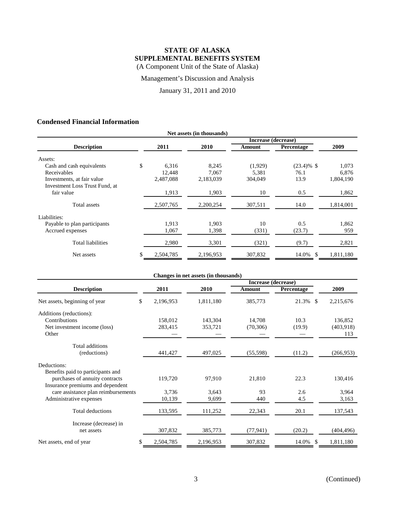Management's Discussion and Analysis

January 31, 2011 and 2010

# **Condensed Financial Information**

| Net assets (in thousands)      |    |           |           |                     |               |           |  |  |
|--------------------------------|----|-----------|-----------|---------------------|---------------|-----------|--|--|
|                                |    |           |           | Increase (decrease) |               |           |  |  |
| <b>Description</b>             |    | 2011      | 2010      | Amount              | Percentage    | 2009      |  |  |
| Assets:                        |    |           |           |                     |               |           |  |  |
| Cash and cash equivalents      | \$ | 6,316     | 8,245     | (1,929)             | $(23.4)\%$ \$ | 1,073     |  |  |
| Receivables                    |    | 12,448    | 7,067     | 5,381               | 76.1          | 6,876     |  |  |
| Investments, at fair value     |    | 2,487,088 | 2,183,039 | 304,049             | 13.9          | 1,804,190 |  |  |
| Investment Loss Trust Fund, at |    |           |           |                     |               |           |  |  |
| fair value                     |    | 1,913     | 1,903     | 10                  | 0.5           | 1,862     |  |  |
| Total assets                   |    | 2,507,765 | 2,200,254 | 307,511             | 14.0          | 1,814,001 |  |  |
| Liabilities:                   |    |           |           |                     |               |           |  |  |
| Payable to plan participants   |    | 1,913     | 1,903     | 10                  | 0.5           | 1,862     |  |  |
| Accrued expenses               |    | 1,067     | 1,398     | (331)               | (23.7)        | 959       |  |  |
| Total liabilities              |    | 2,980     | 3,301     | (321)               | (9.7)         | 2,821     |  |  |
| Net assets                     | \$ | 2,504,785 | 2,196,953 | 307,832             | 14.0%<br>\$.  | 1,811,180 |  |  |

|                                     |                 | Changes in net assets (in thousands) |                     |             |            |
|-------------------------------------|-----------------|--------------------------------------|---------------------|-------------|------------|
|                                     |                 |                                      | Increase (decrease) |             |            |
| <b>Description</b>                  | 2011            | 2010                                 | <b>Amount</b>       | Percentage  | 2009       |
| Net assets, beginning of year       | \$<br>2,196,953 | 1,811,180                            | 385,773             | 21.3% \$    | 2,215,676  |
| Additions (reductions):             |                 |                                      |                     |             |            |
| Contributions                       | 158,012         | 143,304                              | 14,708              | 10.3        | 136,852    |
| Net investment income (loss)        | 283,415         | 353,721                              | (70, 306)           | (19.9)      | (403,918)  |
| Other                               |                 |                                      |                     |             | 113        |
| Total additions                     |                 |                                      |                     |             |            |
| (reductions)                        | 441,427         | 497,025                              | (55,598)            | (11.2)      | (266, 953) |
| Deductions:                         |                 |                                      |                     |             |            |
| Benefits paid to participants and   |                 |                                      |                     |             |            |
| purchases of annuity contracts      | 119,720         | 97,910                               | 21,810              | 22.3        | 130,416    |
| Insurance premiums and dependent    |                 |                                      |                     |             |            |
| care assistance plan reimbursements | 3,736           | 3,643                                | 93                  | 2.6         | 3,964      |
| Administrative expenses             | 10,139          | 9,699                                | 440                 | 4.5         | 3,163      |
| <b>Total deductions</b>             | 133,595         | 111,252                              | 22,343              | 20.1        | 137,543    |
| Increase (decrease) in              |                 |                                      |                     |             |            |
| net assets                          | 307,832         | 385,773                              | (77, 941)           | (20.2)      | (404, 496) |
| Net assets, end of year             | \$<br>2,504,785 | 2,196,953                            | 307,832             | 14.0%<br>-S | 1,811,180  |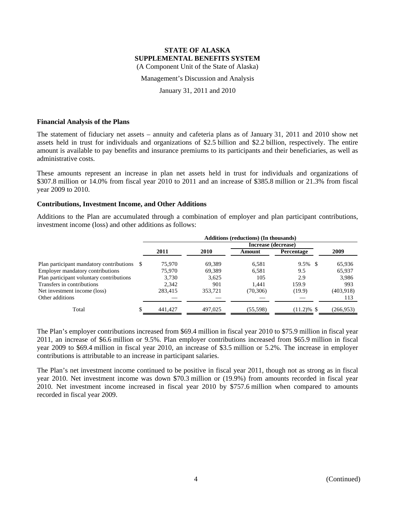Management's Discussion and Analysis

January 31, 2011 and 2010

#### **Financial Analysis of the Plans**

The statement of fiduciary net assets – annuity and cafeteria plans as of January 31, 2011 and 2010 show net assets held in trust for individuals and organizations of \$2.5 billion and \$2.2 billion, respectively. The entire amount is available to pay benefits and insurance premiums to its participants and their beneficiaries, as well as administrative costs.

These amounts represent an increase in plan net assets held in trust for individuals and organizations of \$307.8 million or 14.0% from fiscal year 2010 to 2011 and an increase of \$385.8 million or 21.3% from fiscal year 2009 to 2010.

#### **Contributions, Investment Income, and Other Additions**

Additions to the Plan are accumulated through a combination of employer and plan participant contributions, investment income (loss) and other additions as follows:

|                                             | Additions (reductions) (In thousands) |         |         |                     |               |            |  |
|---------------------------------------------|---------------------------------------|---------|---------|---------------------|---------------|------------|--|
|                                             |                                       |         |         | Increase (decrease) |               |            |  |
|                                             |                                       | 2011    | 2010    | Amount              | Percentage    | 2009       |  |
| Plan participant mandatory contributions \$ |                                       | 75,970  | 69.389  | 6.581               | $9.5\%$ \$    | 65,936     |  |
| <b>Employer mandatory contributions</b>     |                                       | 75.970  | 69.389  | 6.581               | 9.5           | 65,937     |  |
| Plan participant voluntary contributions    |                                       | 3,730   | 3,625   | 105                 | 2.9           | 3,986      |  |
| Transfers in contributions                  |                                       | 2,342   | 901     | 1.441               | 159.9         | 993        |  |
| Net investment income (loss)                |                                       | 283,415 | 353,721 | (70, 306)           | (19.9)        | (403,918)  |  |
| Other additions                             |                                       |         |         |                     |               | 113        |  |
| Total                                       |                                       | 441,427 | 497,025 | (55,598)            | $(11.2)\%$ \$ | (266, 953) |  |

The Plan's employer contributions increased from \$69.4 million in fiscal year 2010 to \$75.9 million in fiscal year 2011, an increase of \$6.6 million or 9.5%. Plan employer contributions increased from \$65.9 million in fiscal year 2009 to \$69.4 million in fiscal year 2010, an increase of \$3.5 million or 5.2%. The increase in employer contributions is attributable to an increase in participant salaries.

The Plan's net investment income continued to be positive in fiscal year 2011, though not as strong as in fiscal year 2010. Net investment income was down \$70.3 million or (19.9%) from amounts recorded in fiscal year 2010. Net investment income increased in fiscal year 2010 by \$757.6 million when compared to amounts recorded in fiscal year 2009.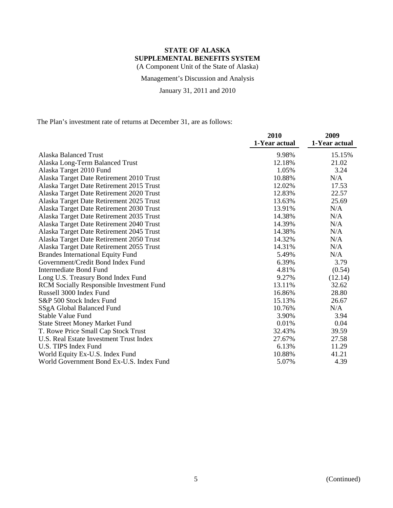Management's Discussion and Analysis

January 31, 2011 and 2010

The Plan's investment rate of returns at December 31, are as follows:

|                                                 | 2010          | 2009          |
|-------------------------------------------------|---------------|---------------|
|                                                 | 1-Year actual | 1-Year actual |
| <b>Alaska Balanced Trust</b>                    | 9.98%         | 15.15%        |
| Alaska Long-Term Balanced Trust                 | 12.18%        | 21.02         |
| Alaska Target 2010 Fund                         | 1.05%         | 3.24          |
| Alaska Target Date Retirement 2010 Trust        | 10.88%        | N/A           |
| Alaska Target Date Retirement 2015 Trust        | 12.02%        | 17.53         |
| Alaska Target Date Retirement 2020 Trust        | 12.83%        | 22.57         |
| Alaska Target Date Retirement 2025 Trust        | 13.63%        | 25.69         |
| Alaska Target Date Retirement 2030 Trust        | 13.91%        | N/A           |
| Alaska Target Date Retirement 2035 Trust        | 14.38%        | N/A           |
| Alaska Target Date Retirement 2040 Trust        | 14.39%        | N/A           |
| Alaska Target Date Retirement 2045 Trust        | 14.38%        | N/A           |
| Alaska Target Date Retirement 2050 Trust        | 14.32%        | N/A           |
| Alaska Target Date Retirement 2055 Trust        | 14.31%        | N/A           |
| <b>Brandes International Equity Fund</b>        | 5.49%         | N/A           |
| Government/Credit Bond Index Fund               | 6.39%         | 3.79          |
| <b>Intermediate Bond Fund</b>                   | 4.81%         | (0.54)        |
| Long U.S. Treasury Bond Index Fund              | 9.27%         | (12.14)       |
| <b>RCM Socially Responsible Investment Fund</b> | 13.11%        | 32.62         |
| Russell 3000 Index Fund                         | 16.86%        | 28.80         |
| S&P 500 Stock Index Fund                        | 15.13%        | 26.67         |
| SSgA Global Balanced Fund                       | 10.76%        | N/A           |
| Stable Value Fund                               | 3.90%         | 3.94          |
| <b>State Street Money Market Fund</b>           | 0.01%         | 0.04          |
| T. Rowe Price Small Cap Stock Trust             | 32.43%        | 39.59         |
| U.S. Real Estate Investment Trust Index         | 27.67%        | 27.58         |
| U.S. TIPS Index Fund                            | 6.13%         | 11.29         |
| World Equity Ex-U.S. Index Fund                 | 10.88%        | 41.21         |
| World Government Bond Ex-U.S. Index Fund        | 5.07%         | 4.39          |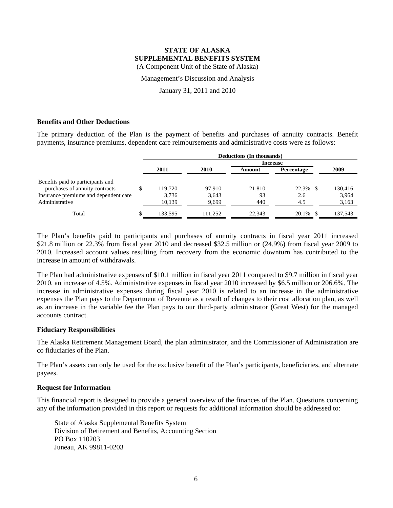Management's Discussion and Analysis

January 31, 2011 and 2010

#### **Benefits and Other Deductions**

The primary deduction of the Plan is the payment of benefits and purchases of annuity contracts. Benefit payments, insurance premiums, dependent care reimbursements and administrative costs were as follows:

|                                       | Deductions (In thousands) |         |         |                 |                   |         |
|---------------------------------------|---------------------------|---------|---------|-----------------|-------------------|---------|
|                                       |                           |         |         | <b>Increase</b> |                   |         |
|                                       |                           | 2011    | 2010    | Amount          | <b>Percentage</b> | 2009    |
| Benefits paid to participants and     |                           |         |         |                 |                   |         |
| purchases of annuity contracts        |                           | 119.720 | 97.910  | 21,810          | 22.3% \$          | 130,416 |
| Insurance premiums and dependent care |                           | 3,736   | 3,643   | 93              | 2.6               | 3,964   |
| Administrative                        |                           | 10,139  | 9,699   | 440             | 4.5               | 3,163   |
| Total                                 |                           | 133,595 | 111.252 | 22.343          | 20.1%             | 137,543 |

The Plan's benefits paid to participants and purchases of annuity contracts in fiscal year 2011 increased \$21.8 million or 22.3% from fiscal year 2010 and decreased \$32.5 million or (24.9%) from fiscal year 2009 to 2010. Increased account values resulting from recovery from the economic downturn has contributed to the increase in amount of withdrawals.

The Plan had administrative expenses of \$10.1 million in fiscal year 2011 compared to \$9.7 million in fiscal year 2010, an increase of 4.5%. Administrative expenses in fiscal year 2010 increased by \$6.5 million or 206.6%. The increase in administrative expenses during fiscal year 2010 is related to an increase in the administrative expenses the Plan pays to the Department of Revenue as a result of changes to their cost allocation plan, as well as an increase in the variable fee the Plan pays to our third-party administrator (Great West) for the managed accounts contract.

#### **Fiduciary Responsibilities**

The Alaska Retirement Management Board, the plan administrator, and the Commissioner of Administration are co fiduciaries of the Plan.

The Plan's assets can only be used for the exclusive benefit of the Plan's participants, beneficiaries, and alternate payees.

#### **Request for Information**

This financial report is designed to provide a general overview of the finances of the Plan. Questions concerning any of the information provided in this report or requests for additional information should be addressed to:

State of Alaska Supplemental Benefits System Division of Retirement and Benefits, Accounting Section PO Box 110203 Juneau, AK 99811-0203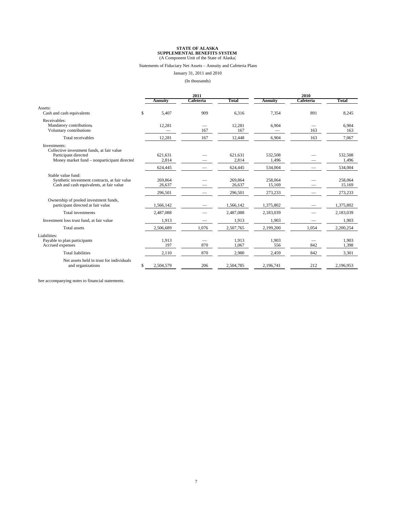#### Statements of Fiduciary Net Assets – Annuity and Cafeteria Plans

January 31, 2011 and 2010

(In thousands)

|                                                                                                                                   | 2011                         |           |                              | 2010                         |           |                              |
|-----------------------------------------------------------------------------------------------------------------------------------|------------------------------|-----------|------------------------------|------------------------------|-----------|------------------------------|
|                                                                                                                                   | <b>Annuity</b>               | Cafeteria | Total                        | <b>Annuity</b>               | Cafeteria | Total                        |
| Assets:<br>Cash and cash equivalents                                                                                              | \$<br>5,407                  | 909       | 6,316                        | 7,354                        | 891       | 8,245                        |
| Receivables:<br>Mandatory contributions<br>Voluntary contributions                                                                | 12,281                       | 167       | 12,281<br>167                | 6,904                        | -<br>163  | 6.904<br>163                 |
| Total receivables                                                                                                                 | 12,281                       | 167       | 12,448                       | 6,904                        | 163       | 7,067                        |
| Investments:<br>Collective investment funds, at fair value<br>Participant directed<br>Money market fund – nonparticipant directed | 621.631<br>2,814             |           | 621,631<br>2,814             | 532,508<br>1,496             |           | 532,508<br>1,496             |
|                                                                                                                                   | 624,445                      |           | 624,445                      | 534,004                      |           | 534,004                      |
| Stable value fund:<br>Synthetic investment contracts, at fair value<br>Cash and cash equivalents, at fair value                   | 269,864<br>26,637<br>296,501 |           | 269,864<br>26,637<br>296.501 | 258,064<br>15.169<br>273,233 |           | 258,064<br>15,169<br>273,233 |
| Ownership of pooled investment funds,<br>participant directed at fair value                                                       | 1,566,142                    |           | 1,566,142                    | 1,375,802                    |           | 1,375,802                    |
| Total investments                                                                                                                 | 2,487,088                    |           | 2,487,088                    | 2,183,039                    |           | 2,183,039                    |
| Investment loss trust fund, at fair value                                                                                         | 1,913                        |           | 1,913                        | 1,903                        |           | 1,903                        |
| <b>Total assets</b>                                                                                                               | 2.506.689                    | 1,076     | 2,507,765                    | 2,199,200                    | 1.054     | 2,200,254                    |
| Liabilities:<br>Payable to plan participants<br>Accrued expenses                                                                  | 1,913<br>197                 | 870       | 1,913<br>1,067               | 1,903<br>556                 | 842       | 1,903<br>1,398               |
| <b>Total liabilities</b>                                                                                                          | 2,110                        | 870       | 2,980                        | 2,459                        | 842       | 3,301                        |
| Net assets held in trust for individuals<br>and organizations                                                                     | \$<br>2,504,579              | 206       | 2,504,785                    | 2,196,741                    | 212       | 2,196,953                    |

See accompanying notes to financial statements.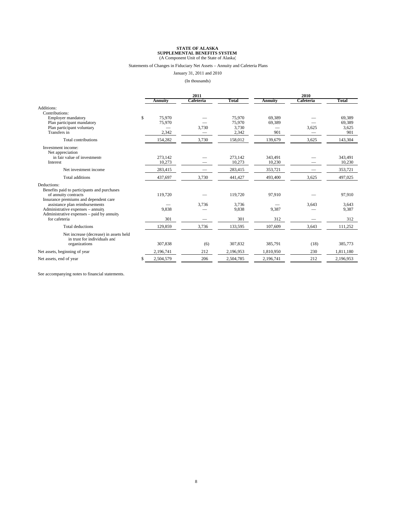#### Statements of Changes in Fiduciary Net Assets – Annuity and Cafeteria Plans

January 31, 2011 and 2010

(In thousands)

|                                                                        |    | 2011           |           |           | 2010           |           |           |
|------------------------------------------------------------------------|----|----------------|-----------|-----------|----------------|-----------|-----------|
|                                                                        |    | <b>Annuity</b> | Cafeteria | Total     | <b>Annuity</b> | Cafeteria | Total     |
| Additions:<br>Contributions:                                           |    |                |           |           |                |           |           |
| <b>Employer mandatory</b>                                              | \$ | 75,970         |           | 75,970    | 69.389         |           | 69,389    |
| Plan participant mandatory                                             |    | 75,970         |           | 75,970    | 69,389         |           | 69,389    |
| Plan participant voluntary                                             |    |                | 3,730     | 3,730     |                | 3,625     | 3,625     |
| Transfers in                                                           |    | 2,342          |           | 2,342     | 901            |           | 901       |
| Total contributions                                                    |    | 154,282        | 3,730     | 158,012   | 139,679        | 3,625     | 143,304   |
| Investment income:<br>Net appreciation                                 |    |                |           |           |                |           |           |
| in fair value of investments                                           |    | 273,142        |           | 273,142   | 343,491        |           | 343,491   |
| Interest                                                               |    | 10,273         |           | 10,273    | 10,230         |           | 10,230    |
| Net investment income                                                  |    | 283,415        |           | 283,415   | 353,721        |           | 353,721   |
| <b>Total additions</b>                                                 |    | 437,697        | 3,730     | 441,427   | 493,400        | 3,625     | 497,025   |
| Deductions:                                                            |    |                |           |           |                |           |           |
| Benefits paid to participants and purchases                            |    |                |           |           |                |           |           |
| of annuity contracts                                                   |    | 119,720        |           | 119,720   | 97,910         |           | 97,910    |
| Insurance premiums and dependent care                                  |    |                |           |           |                |           |           |
| assistance plan reimbursements                                         |    |                | 3,736     | 3,736     |                | 3,643     | 3,643     |
| Administrative expenses - annuity                                      |    | 9,838          |           | 9,838     | 9,387          |           | 9,387     |
| Administrative expenses – paid by annuity<br>for cafeteria             |    | 301            |           | 301       | 312            |           | 312       |
|                                                                        |    |                |           |           |                |           |           |
| <b>Total deductions</b>                                                |    | 129,859        | 3,736     | 133,595   | 107,609        | 3,643     | 111,252   |
| Net increase (decrease) in assets held<br>in trust for individuals and |    |                |           |           |                |           |           |
| organizations                                                          |    | 307,838        | (6)       | 307,832   | 385,791        | (18)      | 385,773   |
| Net assets, beginning of year                                          |    | 2,196,741      | 212       | 2,196,953 | 1,810,950      | 230       | 1,811,180 |
| Net assets, end of year                                                | S  | 2,504,579      | 206       | 2,504,785 | 2,196,741      | 212       | 2,196,953 |

See accompanying notes to financial statements.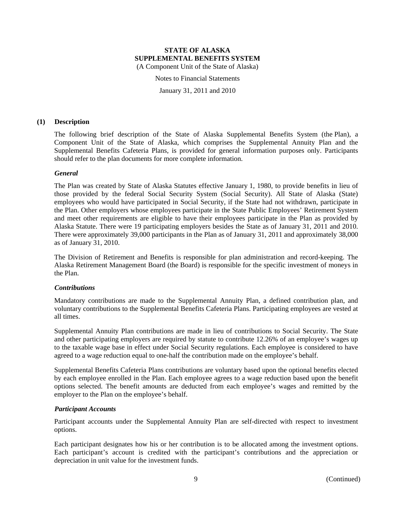Notes to Financial Statements

January 31, 2011 and 2010

#### **(1) Description**

The following brief description of the State of Alaska Supplemental Benefits System (the Plan), a Component Unit of the State of Alaska, which comprises the Supplemental Annuity Plan and the Supplemental Benefits Cafeteria Plans, is provided for general information purposes only. Participants should refer to the plan documents for more complete information.

#### *General*

The Plan was created by State of Alaska Statutes effective January 1, 1980, to provide benefits in lieu of those provided by the federal Social Security System (Social Security). All State of Alaska (State) employees who would have participated in Social Security, if the State had not withdrawn, participate in the Plan. Other employers whose employees participate in the State Public Employees' Retirement System and meet other requirements are eligible to have their employees participate in the Plan as provided by Alaska Statute. There were 19 participating employers besides the State as of January 31, 2011 and 2010. There were approximately 39,000 participants in the Plan as of January 31, 2011 and approximately 38,000 as of January 31, 2010.

The Division of Retirement and Benefits is responsible for plan administration and record-keeping. The Alaska Retirement Management Board (the Board) is responsible for the specific investment of moneys in the Plan.

#### *Contributions*

Mandatory contributions are made to the Supplemental Annuity Plan, a defined contribution plan, and voluntary contributions to the Supplemental Benefits Cafeteria Plans. Participating employees are vested at all times.

Supplemental Annuity Plan contributions are made in lieu of contributions to Social Security. The State and other participating employers are required by statute to contribute 12.26% of an employee's wages up to the taxable wage base in effect under Social Security regulations. Each employee is considered to have agreed to a wage reduction equal to one-half the contribution made on the employee's behalf.

Supplemental Benefits Cafeteria Plans contributions are voluntary based upon the optional benefits elected by each employee enrolled in the Plan. Each employee agrees to a wage reduction based upon the benefit options selected. The benefit amounts are deducted from each employee's wages and remitted by the employer to the Plan on the employee's behalf.

#### *Participant Accounts*

Participant accounts under the Supplemental Annuity Plan are self-directed with respect to investment options.

Each participant designates how his or her contribution is to be allocated among the investment options. Each participant's account is credited with the participant's contributions and the appreciation or depreciation in unit value for the investment funds.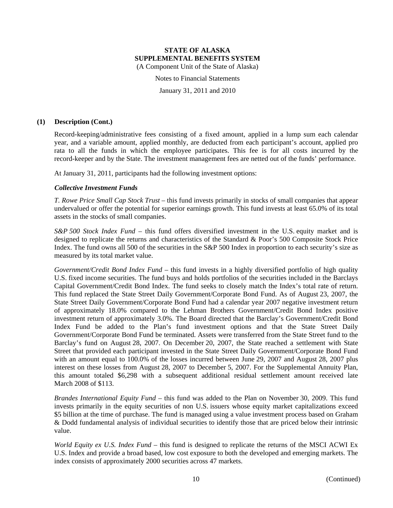Notes to Financial Statements

January 31, 2011 and 2010

#### **(1) Description (Cont.)**

Record-keeping/administrative fees consisting of a fixed amount, applied in a lump sum each calendar year, and a variable amount, applied monthly, are deducted from each participant's account, applied pro rata to all the funds in which the employee participates. This fee is for all costs incurred by the record-keeper and by the State. The investment management fees are netted out of the funds' performance.

At January 31, 2011, participants had the following investment options:

#### *Collective Investment Funds*

*T. Rowe Price Small Cap Stock Trust* – this fund invests primarily in stocks of small companies that appear undervalued or offer the potential for superior earnings growth. This fund invests at least 65.0% of its total assets in the stocks of small companies.

*S&P 500 Stock Index Fund* – this fund offers diversified investment in the U.S. equity market and is designed to replicate the returns and characteristics of the Standard & Poor's 500 Composite Stock Price Index. The fund owns all 500 of the securities in the S&P 500 Index in proportion to each security's size as measured by its total market value.

*Government/Credit Bond Index Fund* – this fund invests in a highly diversified portfolio of high quality U.S. fixed income securities. The fund buys and holds portfolios of the securities included in the Barclays Capital Government/Credit Bond Index. The fund seeks to closely match the Index's total rate of return. This fund replaced the State Street Daily Government/Corporate Bond Fund. As of August 23, 2007, the State Street Daily Government/Corporate Bond Fund had a calendar year 2007 negative investment return of approximately 18.0% compared to the Lehman Brothers Government/Credit Bond Index positive investment return of approximately 3.0%. The Board directed that the Barclay's Government/Credit Bond Index Fund be added to the Plan's fund investment options and that the State Street Daily Government/Corporate Bond Fund be terminated. Assets were transferred from the State Street fund to the Barclay's fund on August 28, 2007. On December 20, 2007, the State reached a settlement with State Street that provided each participant invested in the State Street Daily Government/Corporate Bond Fund with an amount equal to 100.0% of the losses incurred between June 29, 2007 and August 28, 2007 plus interest on these losses from August 28, 2007 to December 5, 2007. For the Supplemental Annuity Plan, this amount totaled \$6,298 with a subsequent additional residual settlement amount received late March 2008 of \$113.

*Brandes International Equity Fund* – this fund was added to the Plan on November 30, 2009. This fund invests primarily in the equity securities of non U.S. issuers whose equity market capitalizations exceed \$5 billion at the time of purchase. The fund is managed using a value investment process based on Graham & Dodd fundamental analysis of individual securities to identify those that are priced below their intrinsic value.

*World Equity ex U.S. Index Fund* – this fund is designed to replicate the returns of the MSCI ACWI Ex U.S. Index and provide a broad based, low cost exposure to both the developed and emerging markets. The index consists of approximately 2000 securities across 47 markets.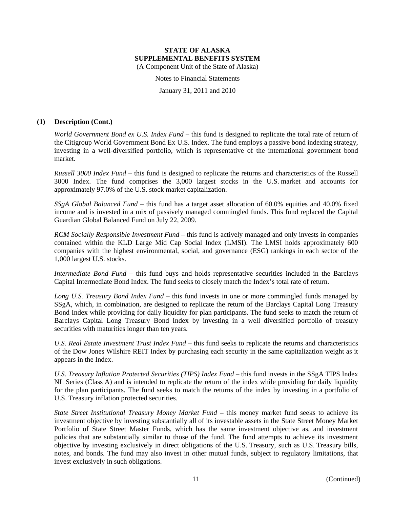Notes to Financial Statements

January 31, 2011 and 2010

### **(1) Description (Cont.)**

*World Government Bond ex U.S. Index Fund* – this fund is designed to replicate the total rate of return of the Citigroup World Government Bond Ex U.S. Index. The fund employs a passive bond indexing strategy, investing in a well-diversified portfolio, which is representative of the international government bond market.

*Russell 3000 Index Fund* – this fund is designed to replicate the returns and characteristics of the Russell 3000 Index. The fund comprises the 3,000 largest stocks in the U.S. market and accounts for approximately 97.0% of the U.S. stock market capitalization.

*SSgA Global Balanced Fund* – this fund has a target asset allocation of 60.0% equities and 40.0% fixed income and is invested in a mix of passively managed commingled funds. This fund replaced the Capital Guardian Global Balanced Fund on July 22, 2009.

*RCM Socially Responsible Investment Fund* – this fund is actively managed and only invests in companies contained within the KLD Large Mid Cap Social Index (LMSI). The LMSI holds approximately 600 companies with the highest environmental, social, and governance (ESG) rankings in each sector of the 1,000 largest U.S. stocks.

*Intermediate Bond Fund* – this fund buys and holds representative securities included in the Barclays Capital Intermediate Bond Index. The fund seeks to closely match the Index's total rate of return.

*Long U.S. Treasury Bond Index Fund* – this fund invests in one or more commingled funds managed by SSgA, which, in combination, are designed to replicate the return of the Barclays Capital Long Treasury Bond Index while providing for daily liquidity for plan participants. The fund seeks to match the return of Barclays Capital Long Treasury Bond Index by investing in a well diversified portfolio of treasury securities with maturities longer than ten years.

*U.S. Real Estate Investment Trust Index Fund* – this fund seeks to replicate the returns and characteristics of the Dow Jones Wilshire REIT Index by purchasing each security in the same capitalization weight as it appears in the Index.

*U.S. Treasury Inflation Protected Securities (TIPS) Index Fund* – this fund invests in the SSgA TIPS Index NL Series (Class A) and is intended to replicate the return of the index while providing for daily liquidity for the plan participants. The fund seeks to match the returns of the index by investing in a portfolio of U.S. Treasury inflation protected securities.

*State Street Institutional Treasury Money Market Fund* – this money market fund seeks to achieve its investment objective by investing substantially all of its investable assets in the State Street Money Market Portfolio of State Street Master Funds, which has the same investment objective as, and investment policies that are substantially similar to those of the fund. The fund attempts to achieve its investment objective by investing exclusively in direct obligations of the U.S. Treasury, such as U.S. Treasury bills, notes, and bonds. The fund may also invest in other mutual funds, subject to regulatory limitations, that invest exclusively in such obligations.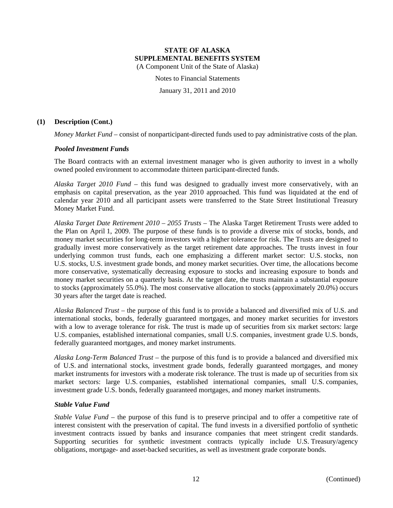Notes to Financial Statements

January 31, 2011 and 2010

### **(1) Description (Cont.)**

*Money Market Fund* – consist of nonparticipant-directed funds used to pay administrative costs of the plan.

#### *Pooled Investment Funds*

The Board contracts with an external investment manager who is given authority to invest in a wholly owned pooled environment to accommodate thirteen participant-directed funds.

*Alaska Target 2010 Fund* – this fund was designed to gradually invest more conservatively, with an emphasis on capital preservation, as the year 2010 approached. This fund was liquidated at the end of calendar year 2010 and all participant assets were transferred to the State Street Institutional Treasury Money Market Fund.

*Alaska Target Date Retirement 2010 – 2055 Trusts* – The Alaska Target Retirement Trusts were added to the Plan on April 1, 2009. The purpose of these funds is to provide a diverse mix of stocks, bonds, and money market securities for long-term investors with a higher tolerance for risk. The Trusts are designed to gradually invest more conservatively as the target retirement date approaches. The trusts invest in four underlying common trust funds, each one emphasizing a different market sector: U.S. stocks, non U.S. stocks, U.S. investment grade bonds, and money market securities. Over time, the allocations become more conservative, systematically decreasing exposure to stocks and increasing exposure to bonds and money market securities on a quarterly basis. At the target date, the trusts maintain a substantial exposure to stocks (approximately 55.0%). The most conservative allocation to stocks (approximately 20.0%) occurs 30 years after the target date is reached.

*Alaska Balanced Trust* – the purpose of this fund is to provide a balanced and diversified mix of U.S. and international stocks, bonds, federally guaranteed mortgages, and money market securities for investors with a low to average tolerance for risk. The trust is made up of securities from six market sectors: large U.S. companies, established international companies, small U.S. companies, investment grade U.S. bonds, federally guaranteed mortgages, and money market instruments.

*Alaska Long-Term Balanced Trust* – the purpose of this fund is to provide a balanced and diversified mix of U.S. and international stocks, investment grade bonds, federally guaranteed mortgages, and money market instruments for investors with a moderate risk tolerance. The trust is made up of securities from six market sectors: large U.S. companies, established international companies, small U.S. companies, investment grade U.S. bonds, federally guaranteed mortgages, and money market instruments.

#### *Stable Value Fund*

*Stable Value Fund* – the purpose of this fund is to preserve principal and to offer a competitive rate of interest consistent with the preservation of capital. The fund invests in a diversified portfolio of synthetic investment contracts issued by banks and insurance companies that meet stringent credit standards. Supporting securities for synthetic investment contracts typically include U.S. Treasury/agency obligations, mortgage- and asset-backed securities, as well as investment grade corporate bonds.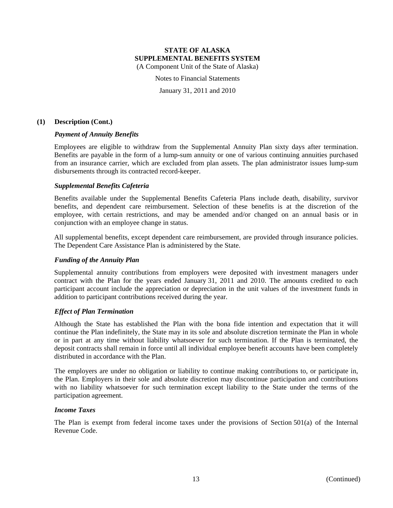Notes to Financial Statements

January 31, 2011 and 2010

#### **(1) Description (Cont.)**

#### *Payment of Annuity Benefits*

Employees are eligible to withdraw from the Supplemental Annuity Plan sixty days after termination. Benefits are payable in the form of a lump-sum annuity or one of various continuing annuities purchased from an insurance carrier, which are excluded from plan assets. The plan administrator issues lump-sum disbursements through its contracted record-keeper.

#### *Supplemental Benefits Cafeteria*

Benefits available under the Supplemental Benefits Cafeteria Plans include death, disability, survivor benefits, and dependent care reimbursement. Selection of these benefits is at the discretion of the employee, with certain restrictions, and may be amended and/or changed on an annual basis or in conjunction with an employee change in status.

All supplemental benefits, except dependent care reimbursement, are provided through insurance policies. The Dependent Care Assistance Plan is administered by the State.

#### *Funding of the Annuity Plan*

Supplemental annuity contributions from employers were deposited with investment managers under contract with the Plan for the years ended January 31, 2011 and 2010. The amounts credited to each participant account include the appreciation or depreciation in the unit values of the investment funds in addition to participant contributions received during the year.

#### *Effect of Plan Termination*

Although the State has established the Plan with the bona fide intention and expectation that it will continue the Plan indefinitely, the State may in its sole and absolute discretion terminate the Plan in whole or in part at any time without liability whatsoever for such termination. If the Plan is terminated, the deposit contracts shall remain in force until all individual employee benefit accounts have been completely distributed in accordance with the Plan.

The employers are under no obligation or liability to continue making contributions to, or participate in, the Plan. Employers in their sole and absolute discretion may discontinue participation and contributions with no liability whatsoever for such termination except liability to the State under the terms of the participation agreement.

#### *Income Taxes*

The Plan is exempt from federal income taxes under the provisions of Section 501(a) of the Internal Revenue Code.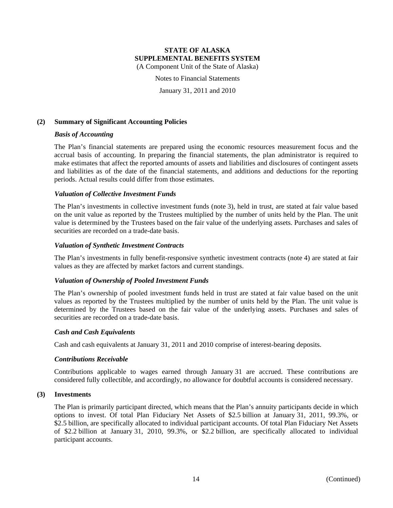# **STATE OF ALASKA SUPPLEMENTAL BENEFITS SYSTEM**

(A Component Unit of the State of Alaska)

Notes to Financial Statements

January 31, 2011 and 2010

### **(2) Summary of Significant Accounting Policies**

#### *Basis of Accounting*

The Plan's financial statements are prepared using the economic resources measurement focus and the accrual basis of accounting. In preparing the financial statements, the plan administrator is required to make estimates that affect the reported amounts of assets and liabilities and disclosures of contingent assets and liabilities as of the date of the financial statements, and additions and deductions for the reporting periods. Actual results could differ from those estimates.

#### *Valuation of Collective Investment Funds*

The Plan's investments in collective investment funds (note 3), held in trust, are stated at fair value based on the unit value as reported by the Trustees multiplied by the number of units held by the Plan. The unit value is determined by the Trustees based on the fair value of the underlying assets. Purchases and sales of securities are recorded on a trade-date basis.

#### *Valuation of Synthetic Investment Contracts*

The Plan's investments in fully benefit-responsive synthetic investment contracts (note 4) are stated at fair values as they are affected by market factors and current standings.

#### *Valuation of Ownership of Pooled Investment Funds*

The Plan's ownership of pooled investment funds held in trust are stated at fair value based on the unit values as reported by the Trustees multiplied by the number of units held by the Plan. The unit value is determined by the Trustees based on the fair value of the underlying assets. Purchases and sales of securities are recorded on a trade-date basis.

#### *Cash and Cash Equivalents*

Cash and cash equivalents at January 31, 2011 and 2010 comprise of interest-bearing deposits.

#### *Contributions Receivable*

Contributions applicable to wages earned through January 31 are accrued. These contributions are considered fully collectible, and accordingly, no allowance for doubtful accounts is considered necessary.

#### **(3) Investments**

The Plan is primarily participant directed, which means that the Plan's annuity participants decide in which options to invest. Of total Plan Fiduciary Net Assets of \$2.5 billion at January 31, 2011, 99.3%, or \$2.5 billion, are specifically allocated to individual participant accounts. Of total Plan Fiduciary Net Assets of \$2.2 billion at January 31, 2010, 99.3%, or \$2.2 billion, are specifically allocated to individual participant accounts.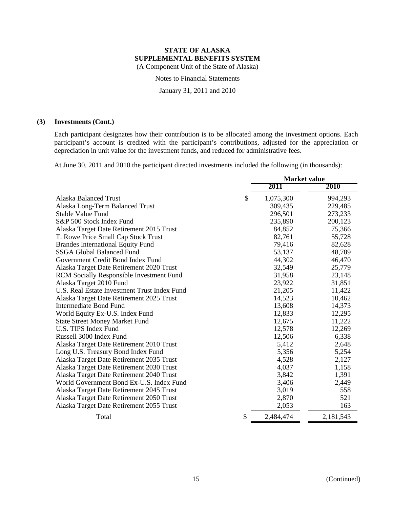Notes to Financial Statements

January 31, 2011 and 2010

# **(3) Investments (Cont.)**

Each participant designates how their contribution is to be allocated among the investment options. Each participant's account is credited with the participant's contributions, adjusted for the appreciation or depreciation in unit value for the investment funds, and reduced for administrative fees.

At June 30, 2011 and 2010 the participant directed investments included the following (in thousands):

|                                                 | <b>Market value</b> |           |           |  |
|-------------------------------------------------|---------------------|-----------|-----------|--|
|                                                 |                     | 2011      | 2010      |  |
| <b>Alaska Balanced Trust</b>                    | \$                  | 1,075,300 | 994,293   |  |
| Alaska Long-Term Balanced Trust                 |                     | 309,435   | 229,485   |  |
| Stable Value Fund                               |                     | 296,501   | 273,233   |  |
| S&P 500 Stock Index Fund                        |                     | 235,890   | 200,123   |  |
| Alaska Target Date Retirement 2015 Trust        |                     | 84,852    | 75,366    |  |
| T. Rowe Price Small Cap Stock Trust             |                     | 82,761    | 55,728    |  |
| <b>Brandes International Equity Fund</b>        |                     | 79,416    | 82,628    |  |
| <b>SSGA Global Balanced Fund</b>                |                     | 53,137    | 48,789    |  |
| Government Credit Bond Index Fund               |                     | 44,302    | 46,470    |  |
| Alaska Target Date Retirement 2020 Trust        |                     | 32,549    | 25,779    |  |
| <b>RCM Socially Responsible Investment Fund</b> |                     | 31,958    | 23,148    |  |
| Alaska Target 2010 Fund                         |                     | 23,922    | 31,851    |  |
| U.S. Real Estate Investment Trust Index Fund    |                     | 21,205    | 11,422    |  |
| Alaska Target Date Retirement 2025 Trust        |                     | 14,523    | 10,462    |  |
| <b>Intermediate Bond Fund</b>                   |                     | 13,608    | 14,373    |  |
| World Equity Ex-U.S. Index Fund                 |                     | 12,833    | 12,295    |  |
| <b>State Street Money Market Fund</b>           |                     | 12,675    | 11,222    |  |
| <b>U.S. TIPS Index Fund</b>                     |                     | 12,578    | 12,269    |  |
| Russell 3000 Index Fund                         |                     | 12,506    | 6,338     |  |
| Alaska Target Date Retirement 2010 Trust        |                     | 5,412     | 2,648     |  |
| Long U.S. Treasury Bond Index Fund              |                     | 5,356     | 5,254     |  |
| Alaska Target Date Retirement 2035 Trust        |                     | 4,528     | 2,127     |  |
| Alaska Target Date Retirement 2030 Trust        |                     | 4,037     | 1,158     |  |
| Alaska Target Date Retirement 2040 Trust        |                     | 3,842     | 1,391     |  |
| World Government Bond Ex-U.S. Index Fund        |                     | 3,406     | 2,449     |  |
| Alaska Target Date Retirement 2045 Trust        |                     | 3,019     | 558       |  |
| Alaska Target Date Retirement 2050 Trust        |                     | 2,870     | 521       |  |
| Alaska Target Date Retirement 2055 Trust        |                     | 2,053     | 163       |  |
| Total                                           | \$                  | 2,484,474 | 2,181,543 |  |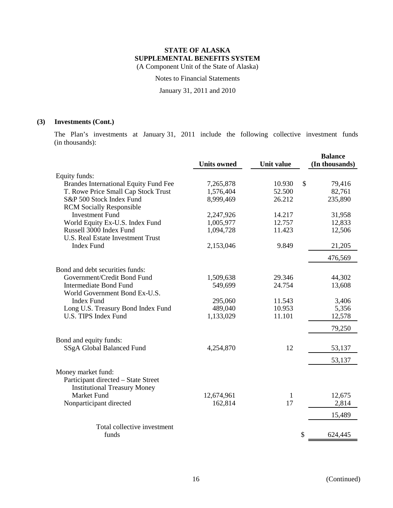Notes to Financial Statements

January 31, 2011 and 2010

# **(3) Investments (Cont.)**

The Plan's investments at January 31, 2011 include the following collective investment funds (in thousands):

|                                                                                                  | <b>Units owned</b> | <b>Unit value</b> | <b>Balance</b><br>(In thousands) |
|--------------------------------------------------------------------------------------------------|--------------------|-------------------|----------------------------------|
| Equity funds:                                                                                    |                    |                   |                                  |
| <b>Brandes International Equity Fund Fee</b>                                                     | 7,265,878          | 10.930            | \$<br>79,416                     |
| T. Rowe Price Small Cap Stock Trust                                                              | 1,576,404          | 52.500            | 82,761                           |
| S&P 500 Stock Index Fund                                                                         | 8,999,469          | 26.212            | 235,890                          |
| <b>RCM</b> Socially Responsible                                                                  |                    |                   |                                  |
| <b>Investment Fund</b>                                                                           | 2,247,926          | 14.217            | 31,958                           |
| World Equity Ex-U.S. Index Fund                                                                  | 1,005,977          | 12.757            | 12,833                           |
| Russell 3000 Index Fund                                                                          | 1,094,728          | 11.423            | 12,506                           |
| <b>U.S. Real Estate Investment Trust</b>                                                         |                    |                   |                                  |
| <b>Index Fund</b>                                                                                | 2,153,046          | 9.849             | 21,205                           |
|                                                                                                  |                    |                   | 476,569                          |
| Bond and debt securities funds:                                                                  |                    |                   |                                  |
| Government/Credit Bond Fund                                                                      | 1,509,638          | 29.346            | 44,302                           |
| <b>Intermediate Bond Fund</b>                                                                    | 549,699            | 24.754            | 13,608                           |
| World Government Bond Ex-U.S.                                                                    |                    |                   |                                  |
| <b>Index Fund</b>                                                                                | 295,060            | 11.543            | 3,406                            |
| Long U.S. Treasury Bond Index Fund                                                               | 489,040            | 10.953            | 5,356                            |
| <b>U.S. TIPS Index Fund</b>                                                                      | 1,133,029          | 11.101            | 12,578                           |
|                                                                                                  |                    |                   | 79,250                           |
| Bond and equity funds:                                                                           |                    |                   |                                  |
| SSgA Global Balanced Fund                                                                        | 4,254,870          | 12                | 53,137                           |
|                                                                                                  |                    |                   | 53,137                           |
| Money market fund:<br>Participant directed - State Street<br><b>Institutional Treasury Money</b> |                    |                   |                                  |
| <b>Market Fund</b>                                                                               | 12,674,961         | 1                 | 12,675                           |
| Nonparticipant directed                                                                          | 162,814            | 17                | 2,814                            |
|                                                                                                  |                    |                   | 15,489                           |
| Total collective investment                                                                      |                    |                   |                                  |
| funds                                                                                            |                    |                   | \$<br>624,445                    |
|                                                                                                  |                    |                   |                                  |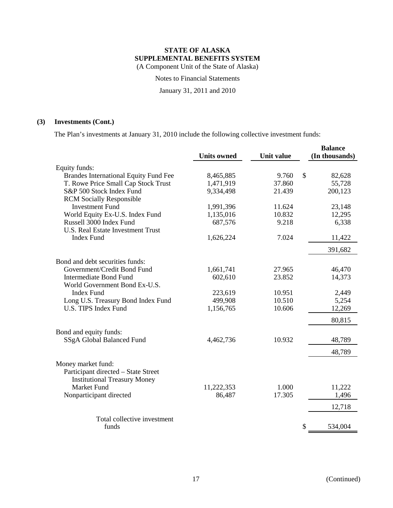Notes to Financial Statements

January 31, 2011 and 2010

# **(3) Investments (Cont.)**

The Plan's investments at January 31, 2010 include the following collective investment funds:

|                                              | <b>Units owned</b> | <b>Unit value</b> | <b>Balance</b> |
|----------------------------------------------|--------------------|-------------------|----------------|
|                                              |                    |                   | (In thousands) |
| Equity funds:                                |                    |                   |                |
| <b>Brandes International Equity Fund Fee</b> | 8,465,885          | 9.760             | \$<br>82,628   |
| T. Rowe Price Small Cap Stock Trust          | 1,471,919          | 37.860            | 55,728         |
| S&P 500 Stock Index Fund                     | 9,334,498          | 21.439            | 200,123        |
| <b>RCM Socially Responsible</b>              |                    |                   |                |
| <b>Investment Fund</b>                       | 1,991,396          | 11.624            | 23,148         |
| World Equity Ex-U.S. Index Fund              | 1,135,016          | 10.832            | 12,295         |
| Russell 3000 Index Fund                      | 687,576            | 9.218             | 6,338          |
| <b>U.S. Real Estate Investment Trust</b>     |                    |                   |                |
| <b>Index Fund</b>                            | 1,626,224          | 7.024             | 11,422         |
|                                              |                    |                   | 391,682        |
| Bond and debt securities funds:              |                    |                   |                |
| Government/Credit Bond Fund                  | 1,661,741          | 27.965            | 46,470         |
| <b>Intermediate Bond Fund</b>                | 602,610            | 23.852            | 14,373         |
| World Government Bond Ex-U.S.                |                    |                   |                |
| <b>Index Fund</b>                            | 223,619            | 10.951            | 2,449          |
| Long U.S. Treasury Bond Index Fund           | 499,908            | 10.510            | 5,254          |
| U.S. TIPS Index Fund                         | 1,156,765          | 10.606            | 12,269         |
|                                              |                    |                   | 80,815         |
| Bond and equity funds:                       |                    |                   |                |
| SSgA Global Balanced Fund                    | 4,462,736          | 10.932            | 48,789         |
|                                              |                    |                   | 48,789         |
| Money market fund:                           |                    |                   |                |
| Participant directed - State Street          |                    |                   |                |
| <b>Institutional Treasury Money</b>          |                    |                   |                |
| Market Fund                                  | 11,222,353         | 1.000             | 11,222         |
| Nonparticipant directed                      | 86,487             | 17.305            | 1,496          |
|                                              |                    |                   | 12,718         |
| Total collective investment                  |                    |                   |                |
| funds                                        |                    |                   | \$<br>534,004  |
|                                              |                    |                   |                |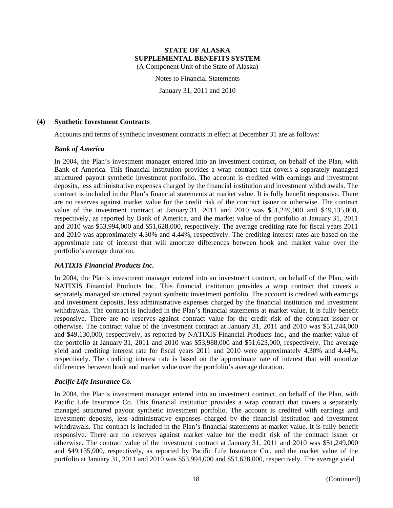Notes to Financial Statements

January 31, 2011 and 2010

#### **(4) Synthetic Investment Contracts**

Accounts and terms of synthetic investment contracts in effect at December 31 are as follows:

#### *Bank of America*

In 2004, the Plan's investment manager entered into an investment contract, on behalf of the Plan, with Bank of America. This financial institution provides a wrap contract that covers a separately managed structured payout synthetic investment portfolio. The account is credited with earnings and investment deposits, less administrative expenses charged by the financial institution and investment withdrawals. The contract is included in the Plan's financial statements at market value. It is fully benefit responsive. There are no reserves against market value for the credit risk of the contract issuer or otherwise. The contract value of the investment contract at January 31, 2011 and 2010 was \$51,249,000 and \$49,135,000, respectively, as reported by Bank of America, and the market value of the portfolio at January 31, 2011 and 2010 was \$53,994,000 and \$51,628,000, respectively. The average crediting rate for fiscal years 2011 and 2010 was approximately 4.30% and 4.44%, respectively. The crediting interest rates are based on the approximate rate of interest that will amortize differences between book and market value over the portfolio's average duration.

# *NATIXIS Financial Products Inc.*

In 2004, the Plan's investment manager entered into an investment contract, on behalf of the Plan, with NATIXIS Financial Products Inc. This financial institution provides a wrap contract that covers a separately managed structured payout synthetic investment portfolio. The account is credited with earnings and investment deposits, less administrative expenses charged by the financial institution and investment withdrawals. The contract is included in the Plan's financial statements at market value. It is fully benefit responsive. There are no reserves against contract value for the credit risk of the contract issuer or otherwise. The contract value of the investment contract at January 31, 2011 and 2010 was \$51,244,000 and \$49,130,000, respectively, as reported by NATIXIS Financial Products Inc., and the market value of the portfolio at January 31, 2011 and 2010 was \$53,988,000 and \$51,623,000, respectively. The average yield and crediting interest rate for fiscal years 2011 and 2010 were approximately 4.30% and 4.44%, respectively. The crediting interest rate is based on the approximate rate of interest that will amortize differences between book and market value over the portfolio's average duration.

# *Pacific Life Insurance Co.*

In 2004, the Plan's investment manager entered into an investment contract, on behalf of the Plan, with Pacific Life Insurance Co. This financial institution provides a wrap contract that covers a separately managed structured payout synthetic investment portfolio. The account is credited with earnings and investment deposits, less administrative expenses charged by the financial institution and investment withdrawals. The contract is included in the Plan's financial statements at market value. It is fully benefit responsive. There are no reserves against market value for the credit risk of the contract issuer or otherwise. The contract value of the investment contract at January 31, 2011 and 2010 was \$51,249,000 and \$49,135,000, respectively, as reported by Pacific Life Insurance Co., and the market value of the portfolio at January 31, 2011 and 2010 was \$53,994,000 and \$51,628,000, respectively. The average yield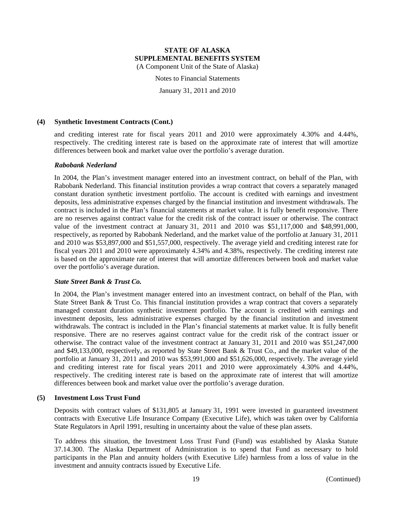Notes to Financial Statements

January 31, 2011 and 2010

#### **(4) Synthetic Investment Contracts (Cont.)**

and crediting interest rate for fiscal years 2011 and 2010 were approximately 4.30% and 4.44%, respectively. The crediting interest rate is based on the approximate rate of interest that will amortize differences between book and market value over the portfolio's average duration.

#### *Rabobank Nederland*

In 2004, the Plan's investment manager entered into an investment contract, on behalf of the Plan, with Rabobank Nederland. This financial institution provides a wrap contract that covers a separately managed constant duration synthetic investment portfolio. The account is credited with earnings and investment deposits, less administrative expenses charged by the financial institution and investment withdrawals. The contract is included in the Plan's financial statements at market value. It is fully benefit responsive. There are no reserves against contract value for the credit risk of the contract issuer or otherwise. The contract value of the investment contract at January 31, 2011 and 2010 was \$51,117,000 and \$48,991,000, respectively, as reported by Rabobank Nederland, and the market value of the portfolio at January 31, 2011 and 2010 was \$53,897,000 and \$51,557,000, respectively. The average yield and crediting interest rate for fiscal years 2011 and 2010 were approximately 4.34% and 4.38%, respectively. The crediting interest rate is based on the approximate rate of interest that will amortize differences between book and market value over the portfolio's average duration.

#### *State Street Bank & Trust Co.*

In 2004, the Plan's investment manager entered into an investment contract, on behalf of the Plan, with State Street Bank & Trust Co. This financial institution provides a wrap contract that covers a separately managed constant duration synthetic investment portfolio. The account is credited with earnings and investment deposits, less administrative expenses charged by the financial institution and investment withdrawals. The contract is included in the Plan's financial statements at market value. It is fully benefit responsive. There are no reserves against contract value for the credit risk of the contract issuer or otherwise. The contract value of the investment contract at January 31, 2011 and 2010 was \$51,247,000 and \$49,133,000, respectively, as reported by State Street Bank & Trust Co., and the market value of the portfolio at January 31, 2011 and 2010 was \$53,991,000 and \$51,626,000, respectively. The average yield and crediting interest rate for fiscal years 2011 and 2010 were approximately 4.30% and 4.44%, respectively. The crediting interest rate is based on the approximate rate of interest that will amortize differences between book and market value over the portfolio's average duration.

# **(5) Investment Loss Trust Fund**

Deposits with contract values of \$131,805 at January 31, 1991 were invested in guaranteed investment contracts with Executive Life Insurance Company (Executive Life), which was taken over by California State Regulators in April 1991, resulting in uncertainty about the value of these plan assets.

To address this situation, the Investment Loss Trust Fund (Fund) was established by Alaska Statute 37.14.300. The Alaska Department of Administration is to spend that Fund as necessary to hold participants in the Plan and annuity holders (with Executive Life) harmless from a loss of value in the investment and annuity contracts issued by Executive Life.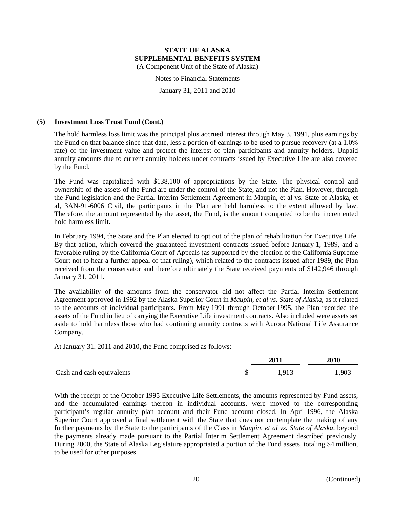Notes to Financial Statements

January 31, 2011 and 2010

### **(5) Investment Loss Trust Fund (Cont.)**

The hold harmless loss limit was the principal plus accrued interest through May 3, 1991, plus earnings by the Fund on that balance since that date, less a portion of earnings to be used to pursue recovery (at a 1.0% rate) of the investment value and protect the interest of plan participants and annuity holders. Unpaid annuity amounts due to current annuity holders under contracts issued by Executive Life are also covered by the Fund.

The Fund was capitalized with \$138,100 of appropriations by the State. The physical control and ownership of the assets of the Fund are under the control of the State, and not the Plan. However, through the Fund legislation and the Partial Interim Settlement Agreement in Maupin, et al vs. State of Alaska, et al, 3AN-91-6006 Civil, the participants in the Plan are held harmless to the extent allowed by law. Therefore, the amount represented by the asset, the Fund, is the amount computed to be the incremented hold harmless limit.

In February 1994, the State and the Plan elected to opt out of the plan of rehabilitation for Executive Life. By that action, which covered the guaranteed investment contracts issued before January 1, 1989, and a favorable ruling by the California Court of Appeals (as supported by the election of the California Supreme Court not to hear a further appeal of that ruling), which related to the contracts issued after 1989, the Plan received from the conservator and therefore ultimately the State received payments of \$142,946 through January 31, 2011.

The availability of the amounts from the conservator did not affect the Partial Interim Settlement Agreement approved in 1992 by the Alaska Superior Court in *Maupin, et al vs. State of Alaska*, as it related to the accounts of individual participants. From May 1991 through October 1995, the Plan recorded the assets of the Fund in lieu of carrying the Executive Life investment contracts. Also included were assets set aside to hold harmless those who had continuing annuity contracts with Aurora National Life Assurance Company.

At January 31, 2011 and 2010, the Fund comprised as follows:

|                           |  | 2010  |       |  |
|---------------------------|--|-------|-------|--|
| Cash and cash equivalents |  | 1.913 | 1,903 |  |

With the receipt of the October 1995 Executive Life Settlements, the amounts represented by Fund assets, and the accumulated earnings thereon in individual accounts, were moved to the corresponding participant's regular annuity plan account and their Fund account closed. In April 1996, the Alaska Superior Court approved a final settlement with the State that does not contemplate the making of any further payments by the State to the participants of the Class in *Maupin, et al vs. State of Alaska*, beyond the payments already made pursuant to the Partial Interim Settlement Agreement described previously. During 2000, the State of Alaska Legislature appropriated a portion of the Fund assets, totaling \$4 million, to be used for other purposes.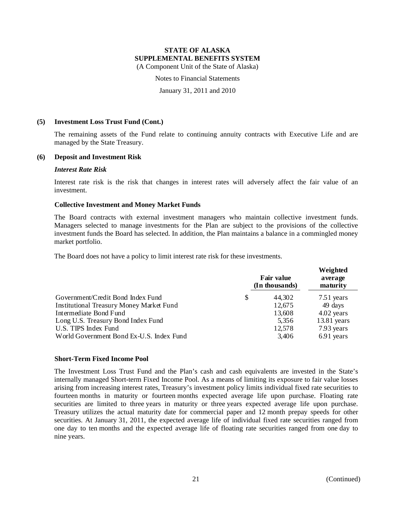Notes to Financial Statements

January 31, 2011 and 2010

#### **(5) Investment Loss Trust Fund (Cont.)**

The remaining assets of the Fund relate to continuing annuity contracts with Executive Life and are managed by the State Treasury.

#### **(6) Deposit and Investment Risk**

#### *Interest Rate Risk*

Interest rate risk is the risk that changes in interest rates will adversely affect the fair value of an investment.

#### **Collective Investment and Money Market Funds**

The Board contracts with external investment managers who maintain collective investment funds. Managers selected to manage investments for the Plan are subject to the provisions of the collective investment funds the Board has selected. In addition, the Plan maintains a balance in a commingled money market portfolio.

The Board does not have a policy to limit interest rate risk for these investments.

|                                          | <b>Fair value</b><br>(In thousands) | Weighted<br>average<br>maturity |               |
|------------------------------------------|-------------------------------------|---------------------------------|---------------|
| Government/Credit Bond Index Fund        | \$                                  | 44,302                          | 7.51 years    |
| Institutional Treasury Money Market Fund |                                     | 12,675                          | 49 days       |
| Intermediate Bond Fund                   |                                     | 13,608                          | 4.02 years    |
| Long U.S. Treasury Bond Index Fund       |                                     | 5,356                           | $13.81$ years |
| U.S. TIPS Index Fund                     |                                     | 12,578                          | 7.93 years    |
| World Government Bond Ex-U.S. Index Fund |                                     | 3,406                           | 6.91 years    |

#### **Short-Term Fixed Income Pool**

The Investment Loss Trust Fund and the Plan's cash and cash equivalents are invested in the State's internally managed Short-term Fixed Income Pool. As a means of limiting its exposure to fair value losses arising from increasing interest rates, Treasury's investment policy limits individual fixed rate securities to fourteen months in maturity or fourteen months expected average life upon purchase. Floating rate securities are limited to three years in maturity or three years expected average life upon purchase. Treasury utilizes the actual maturity date for commercial paper and 12 month prepay speeds for other securities. At January 31, 2011, the expected average life of individual fixed rate securities ranged from one day to ten months and the expected average life of floating rate securities ranged from one day to nine years.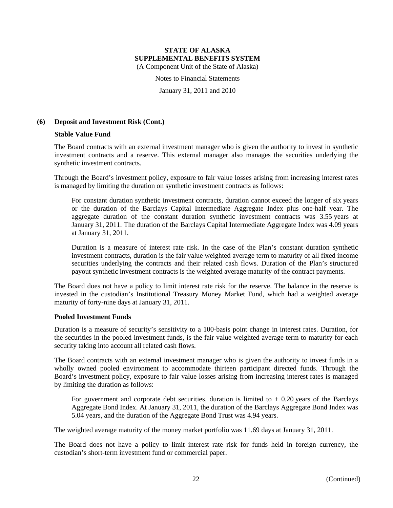Notes to Financial Statements

January 31, 2011 and 2010

# **(6) Deposit and Investment Risk (Cont.)**

#### **Stable Value Fund**

The Board contracts with an external investment manager who is given the authority to invest in synthetic investment contracts and a reserve. This external manager also manages the securities underlying the synthetic investment contracts.

Through the Board's investment policy, exposure to fair value losses arising from increasing interest rates is managed by limiting the duration on synthetic investment contracts as follows:

For constant duration synthetic investment contracts, duration cannot exceed the longer of six years or the duration of the Barclays Capital Intermediate Aggregate Index plus one-half year. The aggregate duration of the constant duration synthetic investment contracts was 3.55 years at January 31, 2011. The duration of the Barclays Capital Intermediate Aggregate Index was 4.09 years at January 31, 2011.

Duration is a measure of interest rate risk. In the case of the Plan's constant duration synthetic investment contracts, duration is the fair value weighted average term to maturity of all fixed income securities underlying the contracts and their related cash flows. Duration of the Plan's structured payout synthetic investment contracts is the weighted average maturity of the contract payments.

The Board does not have a policy to limit interest rate risk for the reserve. The balance in the reserve is invested in the custodian's Institutional Treasury Money Market Fund, which had a weighted average maturity of forty-nine days at January 31, 2011.

#### **Pooled Investment Funds**

Duration is a measure of security's sensitivity to a 100-basis point change in interest rates. Duration, for the securities in the pooled investment funds, is the fair value weighted average term to maturity for each security taking into account all related cash flows.

The Board contracts with an external investment manager who is given the authority to invest funds in a wholly owned pooled environment to accommodate thirteen participant directed funds. Through the Board's investment policy, exposure to fair value losses arising from increasing interest rates is managed by limiting the duration as follows:

For government and corporate debt securities, duration is limited to  $\pm$  0.20 years of the Barclays Aggregate Bond Index. At January 31, 2011, the duration of the Barclays Aggregate Bond Index was 5.04 years, and the duration of the Aggregate Bond Trust was 4.94 years.

The weighted average maturity of the money market portfolio was 11.69 days at January 31, 2011.

The Board does not have a policy to limit interest rate risk for funds held in foreign currency, the custodian's short-term investment fund or commercial paper.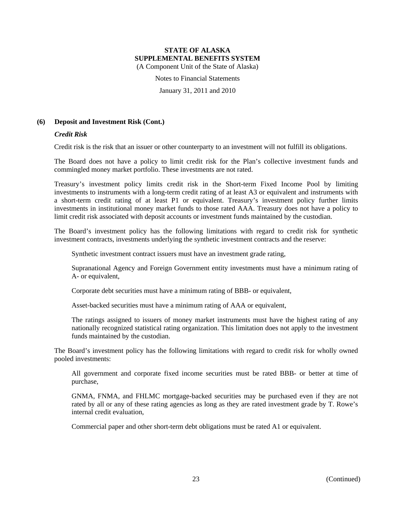Notes to Financial Statements

January 31, 2011 and 2010

# **(6) Deposit and Investment Risk (Cont.)**

#### *Credit Risk*

Credit risk is the risk that an issuer or other counterparty to an investment will not fulfill its obligations.

The Board does not have a policy to limit credit risk for the Plan's collective investment funds and commingled money market portfolio. These investments are not rated.

Treasury's investment policy limits credit risk in the Short-term Fixed Income Pool by limiting investments to instruments with a long-term credit rating of at least A3 or equivalent and instruments with a short-term credit rating of at least P1 or equivalent. Treasury's investment policy further limits investments in institutional money market funds to those rated AAA. Treasury does not have a policy to limit credit risk associated with deposit accounts or investment funds maintained by the custodian.

The Board's investment policy has the following limitations with regard to credit risk for synthetic investment contracts, investments underlying the synthetic investment contracts and the reserve:

Synthetic investment contract issuers must have an investment grade rating,

Supranational Agency and Foreign Government entity investments must have a minimum rating of A- or equivalent,

Corporate debt securities must have a minimum rating of BBB- or equivalent,

Asset-backed securities must have a minimum rating of AAA or equivalent,

The ratings assigned to issuers of money market instruments must have the highest rating of any nationally recognized statistical rating organization. This limitation does not apply to the investment funds maintained by the custodian.

The Board's investment policy has the following limitations with regard to credit risk for wholly owned pooled investments:

All government and corporate fixed income securities must be rated BBB- or better at time of purchase,

GNMA, FNMA, and FHLMC mortgage-backed securities may be purchased even if they are not rated by all or any of these rating agencies as long as they are rated investment grade by T. Rowe's internal credit evaluation,

Commercial paper and other short-term debt obligations must be rated A1 or equivalent.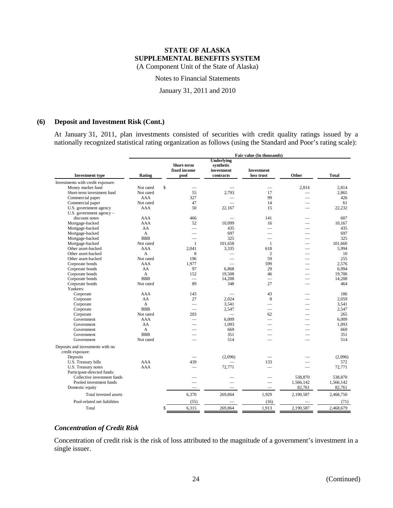Notes to Financial Statements

January 31, 2011 and 2010

#### **(6) Deposit and Investment Risk (Cont.)**

At January 31, 2011, plan investments consisted of securities with credit quality ratings issued by a nationally recognized statistical rating organization as follows (using the Standard and Poor's rating scale):

|                                   | Fair value (In thousands) |                                    |                                                           |                                 |                          |              |
|-----------------------------------|---------------------------|------------------------------------|-----------------------------------------------------------|---------------------------------|--------------------------|--------------|
| <b>Investment type</b>            | Rating                    | Short-term<br>fixed income<br>pool | <b>Underlying</b><br>synthetic<br>investment<br>contracts | <b>Investment</b><br>loss trust | Other                    | <b>Total</b> |
| Investments with credit exposure: |                           |                                    |                                                           |                                 |                          |              |
| Money market fund                 | Not rated                 | $\mathbf S$                        |                                                           |                                 | 2,814                    | 2,814        |
| Short-term investment fund        | Not rated                 | 55                                 | 2.793                                                     | 17                              |                          | 2.865        |
| Commercial paper                  | AAA                       | 327                                |                                                           | 99                              |                          | 426          |
| Commercial paper                  | Not rated                 | 47                                 |                                                           | 14                              |                          | 61           |
| U.S. government agency            | AAA                       | 50                                 | 22.167                                                    | 15                              |                          | 22.232       |
| U.S. government agency $-$        |                           |                                    |                                                           |                                 |                          |              |
| discount notes                    | AAA                       | 466                                |                                                           | 141                             |                          | 607          |
| Mortgage-backed                   | AAA                       | 52                                 | 10.099                                                    | 16                              | $\overline{\phantom{0}}$ | 10.167       |
| Mortgage-backed                   | AA                        | $\qquad \qquad$                    | 435                                                       |                                 |                          | 435          |
| Mortgage-backed                   | A                         | $\overline{\phantom{0}}$           | 697                                                       |                                 |                          | 697          |
| Mortgage-backed                   | <b>BBB</b>                | $\overline{\phantom{0}}$           | 325                                                       |                                 |                          | 325          |
| Mortgage-backed                   | Not rated                 | $\mathbf{1}$                       | 101.658                                                   | 1                               | $\overline{\phantom{0}}$ | 101.660      |
| Other asset-backed                | AAA                       | 2.041                              | 3.335                                                     | 618                             | $\overline{\phantom{a}}$ | 5.994        |
| Other asset-backed                | A                         | 8                                  |                                                           | $\overline{c}$                  | $\overline{\phantom{a}}$ | 10           |
| Other asset-backed                | Not rated                 | 196                                |                                                           | 59                              |                          | 255          |
| Corporate bonds                   | AAA                       | 1,977                              |                                                           | 599                             |                          | 2.576        |
| Corporate bonds                   | AA                        | 97                                 | 6,868                                                     | 29                              |                          | 6.994        |
| Corporate bonds                   | $\mathsf{A}$              | 152                                | 19.508                                                    | 46                              |                          | 19.706       |
| Corporate bonds                   | <b>BBB</b>                | $\overline{\phantom{0}}$           | 14,208                                                    | $\overline{\phantom{0}}$        |                          | 14,208       |
| Corporate bonds                   | Not rated                 | 89                                 | 348                                                       | 27                              |                          | 464          |
| Yankees:                          |                           |                                    |                                                           |                                 |                          |              |
| Corporate                         | AAA                       | 143                                |                                                           | 43                              |                          | 186          |
| Corporate                         | AA                        | 27                                 | 2.024                                                     | 8                               |                          | 2,059        |
| Corporate                         | $\mathsf{A}$              |                                    | 3.541                                                     |                                 |                          | 3,541        |
| Corporate                         | <b>BBB</b>                | 203                                | 2.547                                                     | $\overline{\phantom{0}}$        |                          | 2,547<br>265 |
| Corporate<br>Government           | Not rated<br>AAA          |                                    | 6.009                                                     | 62<br>$\overline{\phantom{0}}$  |                          | 6.009        |
| Government                        | AA                        |                                    | 1,093                                                     |                                 |                          | 1,093        |
| Government                        | $\overline{A}$            |                                    | 669                                                       |                                 |                          | 669          |
| Government                        | <b>BBB</b>                |                                    | 351                                                       |                                 |                          | 351          |
| Government                        | Not rated                 |                                    | 514                                                       |                                 |                          | 514          |
|                                   |                           |                                    |                                                           |                                 |                          |              |
| Deposits and investments with no  |                           |                                    |                                                           |                                 |                          |              |
| credit exposure:                  |                           |                                    |                                                           |                                 |                          |              |
| Deposits                          |                           |                                    | (2,096)                                                   |                                 |                          | (2,096)      |
| U.S. Treasury bills               | AAA                       | 439                                |                                                           | 133                             |                          | 572          |
| U.S. Treasury notes               | AAA                       | $\overline{\phantom{0}}$           | 72,771                                                    |                                 |                          | 72,771       |
| Participant-directed funds:       |                           |                                    |                                                           |                                 |                          |              |
| Collective investment funds       |                           |                                    |                                                           |                                 | 538,870                  | 538,870      |
| Pooled investment funds           |                           |                                    |                                                           |                                 | 1,566,142                | 1,566,142    |
| Domestic equity                   |                           |                                    |                                                           | $\overline{\phantom{0}}$        | 82,761                   | 82,761       |
| Total invested assets             |                           | 6,370                              | 269,864                                                   | 1,929                           | 2,190,587                | 2,468,750    |
| Pool-related net liabilities      |                           | (55)                               |                                                           | (16)                            |                          | (71)         |
| Total                             |                           | 6,315<br>\$                        | 269,864                                                   | 1,913                           | 2,190,587                | 2,468,679    |

# *Concentration of Credit Risk*

Concentration of credit risk is the risk of loss attributed to the magnitude of a government's investment in a single issuer.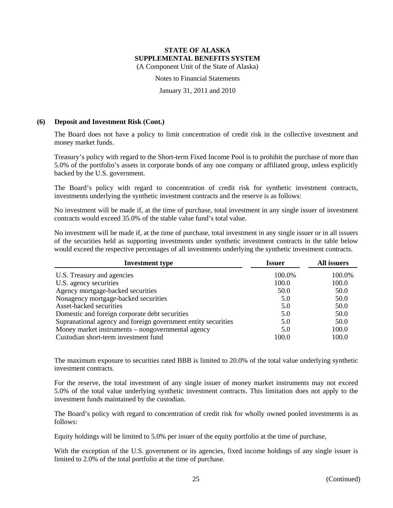# **STATE OF ALASKA SUPPLEMENTAL BENEFITS SYSTEM**

(A Component Unit of the State of Alaska)

Notes to Financial Statements

January 31, 2011 and 2010

#### **(6) Deposit and Investment Risk (Cont.)**

The Board does not have a policy to limit concentration of credit risk in the collective investment and money market funds.

Treasury's policy with regard to the Short-term Fixed Income Pool is to prohibit the purchase of more than 5.0% of the portfolio's assets in corporate bonds of any one company or affiliated group, unless explicitly backed by the U.S. government.

The Board's policy with regard to concentration of credit risk for synthetic investment contracts, investments underlying the synthetic investment contracts and the reserve is as follows:

No investment will be made if, at the time of purchase, total investment in any single issuer of investment contracts would exceed 35.0% of the stable value fund's total value.

No investment will be made if, at the time of purchase, total investment in any single issuer or in all issuers of the securities held as supporting investments under synthetic investment contracts in the table below would exceed the respective percentages of all investments underlying the synthetic investment contracts.

| <b>Investment type</b>                                        | Issuer | All issuers |  |
|---------------------------------------------------------------|--------|-------------|--|
| U.S. Treasury and agencies                                    | 100.0% | 100.0%      |  |
| U.S. agency securities                                        | 100.0  | 100.0       |  |
| Agency mortgage-backed securities                             | 50.0   | 50.0        |  |
| Nonagency mortgage-backed securities                          | 5.0    | 50.0        |  |
| Asset-backed securities                                       | 5.0    | 50.0        |  |
| Domestic and foreign corporate debt securities                | 5.0    | 50.0        |  |
| Supranational agency and foreign government entity securities | 5.0    | 50.0        |  |
| Money market instruments – nongovernmental agency             | 5.0    | 100.0       |  |
| Custodian short-term investment fund                          | 100.0  | 100.0       |  |

The maximum exposure to securities rated BBB is limited to 20.0% of the total value underlying synthetic investment contracts.

For the reserve, the total investment of any single issuer of money market instruments may not exceed 5.0% of the total value underlying synthetic investment contracts. This limitation does not apply to the investment funds maintained by the custodian.

The Board's policy with regard to concentration of credit risk for wholly owned pooled investments is as follows:

Equity holdings will be limited to 5.0% per issuer of the equity portfolio at the time of purchase,

With the exception of the U.S. government or its agencies, fixed income holdings of any single issuer is limited to 2.0% of the total portfolio at the time of purchase.